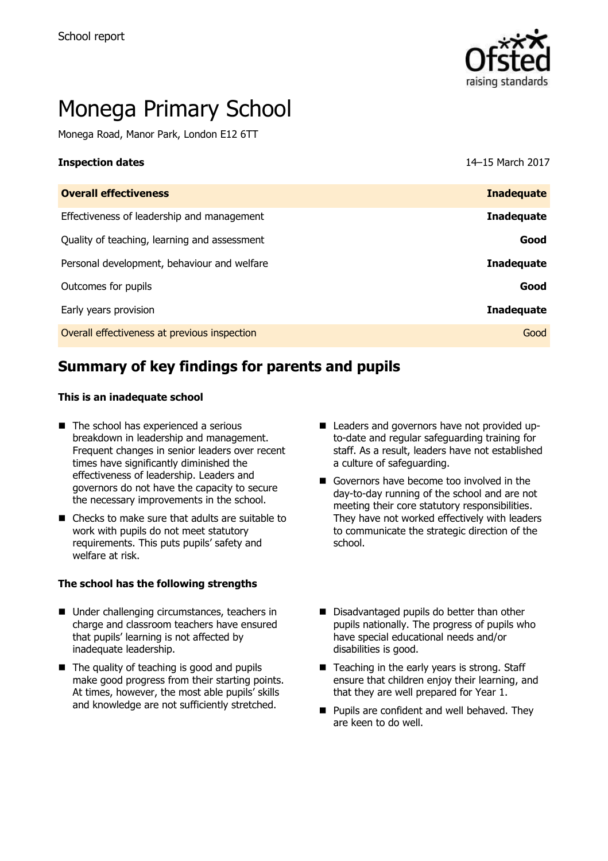

# Monega Primary School

Monega Road, Manor Park, London E12 6TT

**Inspection dates** 14–15 March 2017

| <b>Overall effectiveness</b>                 | <b>Inadequate</b> |
|----------------------------------------------|-------------------|
| Effectiveness of leadership and management   | <b>Inadequate</b> |
| Quality of teaching, learning and assessment | Good              |
| Personal development, behaviour and welfare  | <b>Inadequate</b> |
| Outcomes for pupils                          | Good              |
| Early years provision                        | <b>Inadequate</b> |
| Overall effectiveness at previous inspection | Good              |

# **Summary of key findings for parents and pupils**

#### **This is an inadequate school**

- The school has experienced a serious breakdown in leadership and management. Frequent changes in senior leaders over recent times have significantly diminished the effectiveness of leadership. Leaders and governors do not have the capacity to secure the necessary improvements in the school.
- Checks to make sure that adults are suitable to work with pupils do not meet statutory requirements. This puts pupils' safety and welfare at risk.

#### **The school has the following strengths**

- Under challenging circumstances, teachers in charge and classroom teachers have ensured that pupils' learning is not affected by inadequate leadership.
- $\blacksquare$  The quality of teaching is good and pupils make good progress from their starting points. At times, however, the most able pupils' skills and knowledge are not sufficiently stretched.
- Leaders and governors have not provided upto-date and regular safeguarding training for staff. As a result, leaders have not established a culture of safeguarding.
- Governors have become too involved in the day-to-day running of the school and are not meeting their core statutory responsibilities. They have not worked effectively with leaders to communicate the strategic direction of the school.
- Disadvantaged pupils do better than other pupils nationally. The progress of pupils who have special educational needs and/or disabilities is good.
- $\blacksquare$  Teaching in the early years is strong. Staff ensure that children enjoy their learning, and that they are well prepared for Year 1.
- **Pupils are confident and well behaved. They** are keen to do well.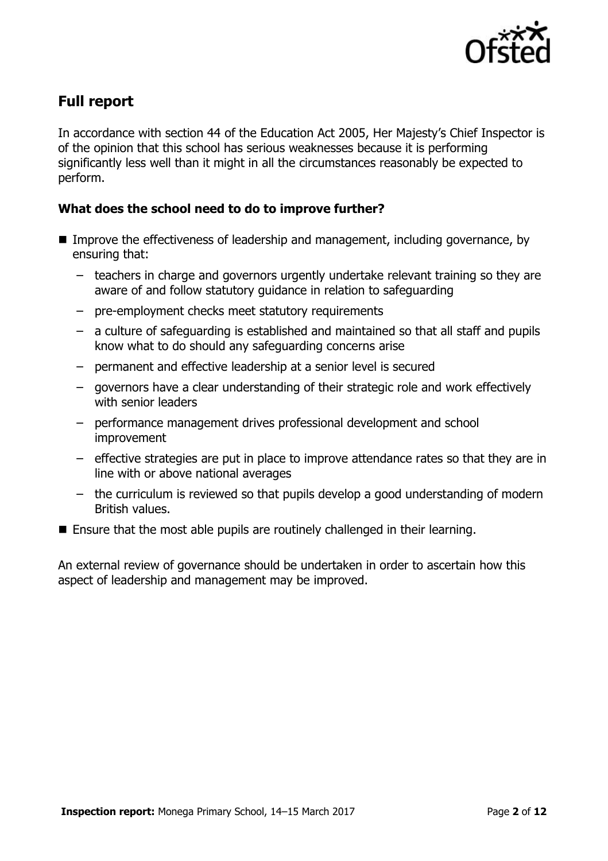

# **Full report**

In accordance with section 44 of the Education Act 2005, Her Majesty's Chief Inspector is of the opinion that this school has serious weaknesses because it is performing significantly less well than it might in all the circumstances reasonably be expected to perform.

### **What does the school need to do to improve further?**

- Improve the effectiveness of leadership and management, including governance, by ensuring that:
	- teachers in charge and governors urgently undertake relevant training so they are aware of and follow statutory guidance in relation to safeguarding
	- pre-employment checks meet statutory requirements
	- a culture of safeguarding is established and maintained so that all staff and pupils know what to do should any safeguarding concerns arise
	- permanent and effective leadership at a senior level is secured
	- governors have a clear understanding of their strategic role and work effectively with senior leaders
	- performance management drives professional development and school improvement
	- effective strategies are put in place to improve attendance rates so that they are in line with or above national averages
	- the curriculum is reviewed so that pupils develop a good understanding of modern British values.
- Ensure that the most able pupils are routinely challenged in their learning.

An external review of governance should be undertaken in order to ascertain how this aspect of leadership and management may be improved.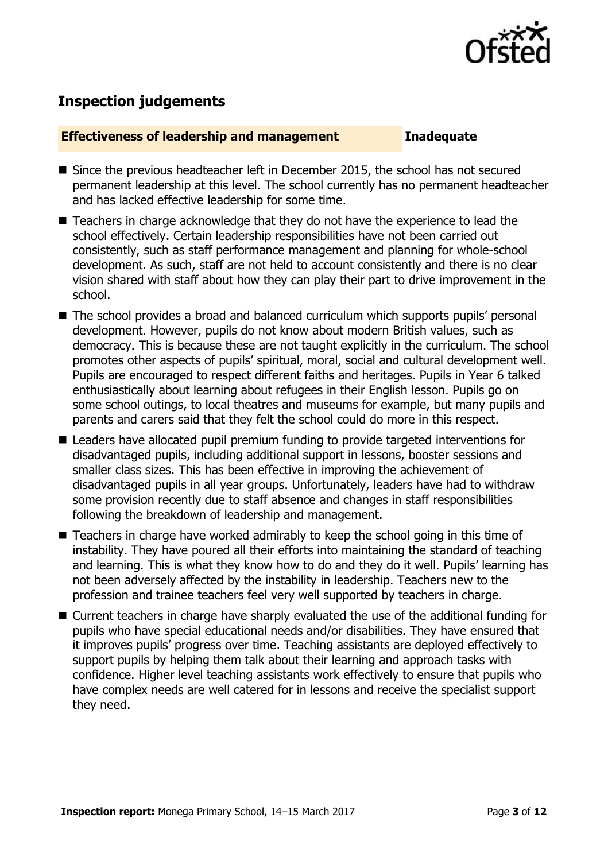

# **Inspection judgements**

#### **Effectiveness of leadership and management Inadequate**

- Since the previous headteacher left in December 2015, the school has not secured permanent leadership at this level. The school currently has no permanent headteacher and has lacked effective leadership for some time.
- Teachers in charge acknowledge that they do not have the experience to lead the school effectively. Certain leadership responsibilities have not been carried out consistently, such as staff performance management and planning for whole-school development. As such, staff are not held to account consistently and there is no clear vision shared with staff about how they can play their part to drive improvement in the school.
- The school provides a broad and balanced curriculum which supports pupils' personal development. However, pupils do not know about modern British values, such as democracy. This is because these are not taught explicitly in the curriculum. The school promotes other aspects of pupils' spiritual, moral, social and cultural development well. Pupils are encouraged to respect different faiths and heritages. Pupils in Year 6 talked enthusiastically about learning about refugees in their English lesson. Pupils go on some school outings, to local theatres and museums for example, but many pupils and parents and carers said that they felt the school could do more in this respect.
- Leaders have allocated pupil premium funding to provide targeted interventions for disadvantaged pupils, including additional support in lessons, booster sessions and smaller class sizes. This has been effective in improving the achievement of disadvantaged pupils in all year groups. Unfortunately, leaders have had to withdraw some provision recently due to staff absence and changes in staff responsibilities following the breakdown of leadership and management.
- Teachers in charge have worked admirably to keep the school going in this time of instability. They have poured all their efforts into maintaining the standard of teaching and learning. This is what they know how to do and they do it well. Pupils' learning has not been adversely affected by the instability in leadership. Teachers new to the profession and trainee teachers feel very well supported by teachers in charge.
- Current teachers in charge have sharply evaluated the use of the additional funding for pupils who have special educational needs and/or disabilities. They have ensured that it improves pupils' progress over time. Teaching assistants are deployed effectively to support pupils by helping them talk about their learning and approach tasks with confidence. Higher level teaching assistants work effectively to ensure that pupils who have complex needs are well catered for in lessons and receive the specialist support they need.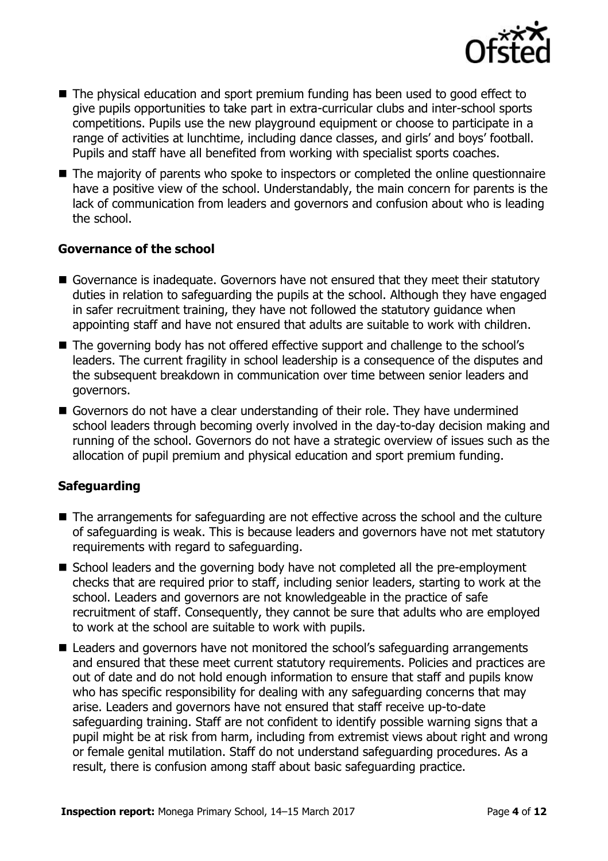

- The physical education and sport premium funding has been used to good effect to give pupils opportunities to take part in extra-curricular clubs and inter-school sports competitions. Pupils use the new playground equipment or choose to participate in a range of activities at lunchtime, including dance classes, and girls' and boys' football. Pupils and staff have all benefited from working with specialist sports coaches.
- The majority of parents who spoke to inspectors or completed the online questionnaire have a positive view of the school. Understandably, the main concern for parents is the lack of communication from leaders and governors and confusion about who is leading the school.

#### **Governance of the school**

- Governance is inadequate. Governors have not ensured that they meet their statutory duties in relation to safeguarding the pupils at the school. Although they have engaged in safer recruitment training, they have not followed the statutory guidance when appointing staff and have not ensured that adults are suitable to work with children.
- The governing body has not offered effective support and challenge to the school's leaders. The current fragility in school leadership is a consequence of the disputes and the subsequent breakdown in communication over time between senior leaders and governors.
- Governors do not have a clear understanding of their role. They have undermined school leaders through becoming overly involved in the day-to-day decision making and running of the school. Governors do not have a strategic overview of issues such as the allocation of pupil premium and physical education and sport premium funding.

### **Safeguarding**

- The arrangements for safeguarding are not effective across the school and the culture of safeguarding is weak. This is because leaders and governors have not met statutory requirements with regard to safeguarding.
- School leaders and the governing body have not completed all the pre-employment checks that are required prior to staff, including senior leaders, starting to work at the school. Leaders and governors are not knowledgeable in the practice of safe recruitment of staff. Consequently, they cannot be sure that adults who are employed to work at the school are suitable to work with pupils.
- Leaders and governors have not monitored the school's safeguarding arrangements and ensured that these meet current statutory requirements. Policies and practices are out of date and do not hold enough information to ensure that staff and pupils know who has specific responsibility for dealing with any safeguarding concerns that may arise. Leaders and governors have not ensured that staff receive up-to-date safeguarding training. Staff are not confident to identify possible warning signs that a pupil might be at risk from harm, including from extremist views about right and wrong or female genital mutilation. Staff do not understand safeguarding procedures. As a result, there is confusion among staff about basic safeguarding practice.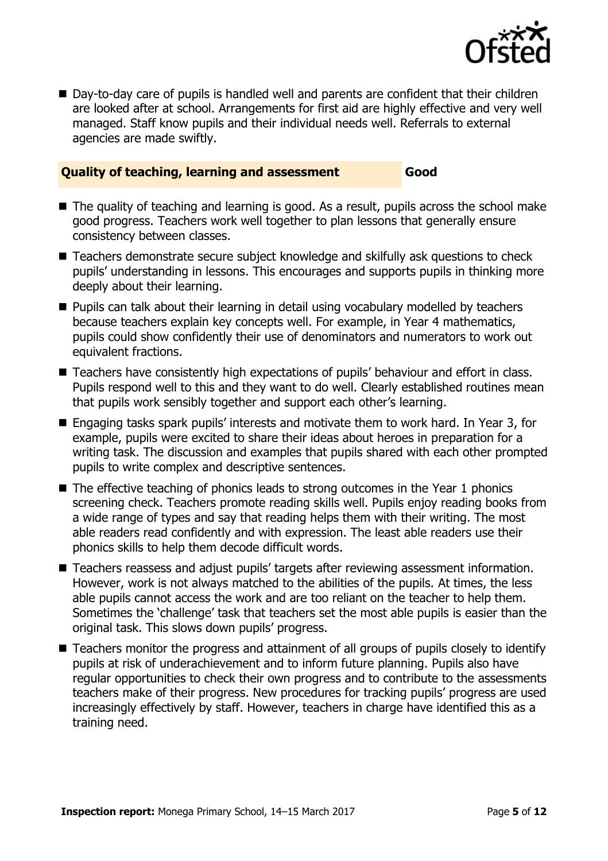

■ Day-to-day care of pupils is handled well and parents are confident that their children are looked after at school. Arrangements for first aid are highly effective and very well managed. Staff know pupils and their individual needs well. Referrals to external agencies are made swiftly.

#### **Quality of teaching, learning and assessment Good**

- The quality of teaching and learning is good. As a result, pupils across the school make good progress. Teachers work well together to plan lessons that generally ensure consistency between classes.
- Teachers demonstrate secure subject knowledge and skilfully ask questions to check pupils' understanding in lessons. This encourages and supports pupils in thinking more deeply about their learning.
- **Pupils can talk about their learning in detail using vocabulary modelled by teachers** because teachers explain key concepts well. For example, in Year 4 mathematics, pupils could show confidently their use of denominators and numerators to work out equivalent fractions.
- Teachers have consistently high expectations of pupils' behaviour and effort in class. Pupils respond well to this and they want to do well. Clearly established routines mean that pupils work sensibly together and support each other's learning.
- Engaging tasks spark pupils' interests and motivate them to work hard. In Year 3, for example, pupils were excited to share their ideas about heroes in preparation for a writing task. The discussion and examples that pupils shared with each other prompted pupils to write complex and descriptive sentences.
- The effective teaching of phonics leads to strong outcomes in the Year 1 phonics screening check. Teachers promote reading skills well. Pupils enjoy reading books from a wide range of types and say that reading helps them with their writing. The most able readers read confidently and with expression. The least able readers use their phonics skills to help them decode difficult words.
- Teachers reassess and adjust pupils' targets after reviewing assessment information. However, work is not always matched to the abilities of the pupils. At times, the less able pupils cannot access the work and are too reliant on the teacher to help them. Sometimes the 'challenge' task that teachers set the most able pupils is easier than the original task. This slows down pupils' progress.
- Teachers monitor the progress and attainment of all groups of pupils closely to identify pupils at risk of underachievement and to inform future planning. Pupils also have regular opportunities to check their own progress and to contribute to the assessments teachers make of their progress. New procedures for tracking pupils' progress are used increasingly effectively by staff. However, teachers in charge have identified this as a training need.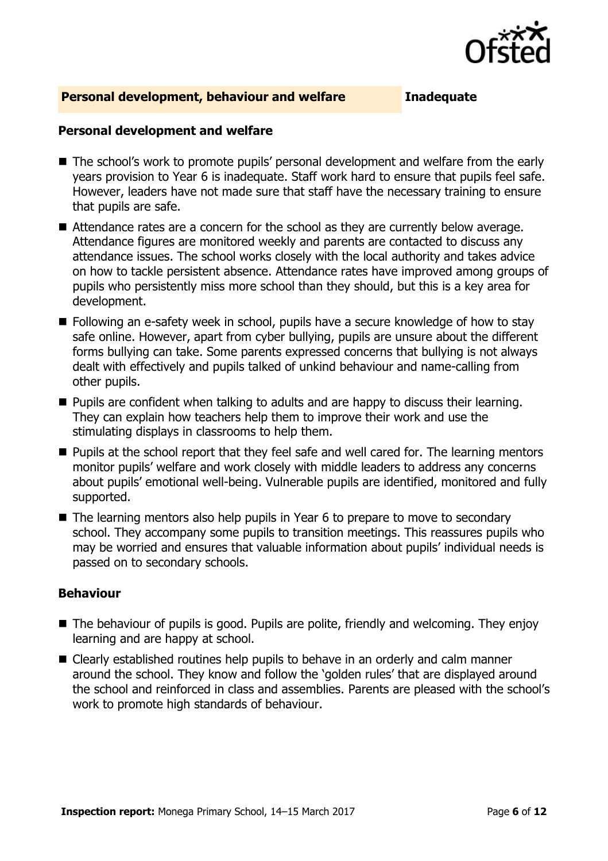

#### **Personal development, behaviour and welfare Inadequate**

#### **Personal development and welfare**

- The school's work to promote pupils' personal development and welfare from the early years provision to Year 6 is inadequate. Staff work hard to ensure that pupils feel safe. However, leaders have not made sure that staff have the necessary training to ensure that pupils are safe.
- Attendance rates are a concern for the school as they are currently below average. Attendance figures are monitored weekly and parents are contacted to discuss any attendance issues. The school works closely with the local authority and takes advice on how to tackle persistent absence. Attendance rates have improved among groups of pupils who persistently miss more school than they should, but this is a key area for development.
- Following an e-safety week in school, pupils have a secure knowledge of how to stay safe online. However, apart from cyber bullying, pupils are unsure about the different forms bullying can take. Some parents expressed concerns that bullying is not always dealt with effectively and pupils talked of unkind behaviour and name-calling from other pupils.
- **Pupils are confident when talking to adults and are happy to discuss their learning.** They can explain how teachers help them to improve their work and use the stimulating displays in classrooms to help them.
- **Pupils at the school report that they feel safe and well cared for. The learning mentors** monitor pupils' welfare and work closely with middle leaders to address any concerns about pupils' emotional well-being. Vulnerable pupils are identified, monitored and fully supported.
- The learning mentors also help pupils in Year 6 to prepare to move to secondary school. They accompany some pupils to transition meetings. This reassures pupils who may be worried and ensures that valuable information about pupils' individual needs is passed on to secondary schools.

#### **Behaviour**

- The behaviour of pupils is good. Pupils are polite, friendly and welcoming. They enjoy learning and are happy at school.
- Clearly established routines help pupils to behave in an orderly and calm manner around the school. They know and follow the 'golden rules' that are displayed around the school and reinforced in class and assemblies. Parents are pleased with the school's work to promote high standards of behaviour.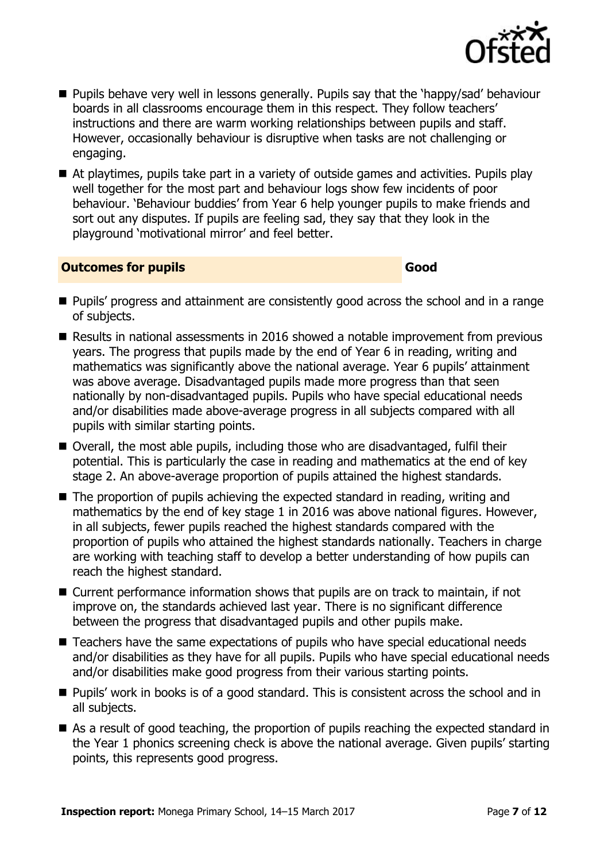

- **Pupils behave very well in lessons generally. Pupils say that the 'happy/sad' behaviour** boards in all classrooms encourage them in this respect. They follow teachers' instructions and there are warm working relationships between pupils and staff. However, occasionally behaviour is disruptive when tasks are not challenging or engaging.
- At playtimes, pupils take part in a variety of outside games and activities. Pupils play well together for the most part and behaviour logs show few incidents of poor behaviour. 'Behaviour buddies' from Year 6 help younger pupils to make friends and sort out any disputes. If pupils are feeling sad, they say that they look in the playground 'motivational mirror' and feel better.

#### **Outcomes for pupils Good**

- **Pupils' progress and attainment are consistently good across the school and in a range** of subjects.
- Results in national assessments in 2016 showed a notable improvement from previous years. The progress that pupils made by the end of Year 6 in reading, writing and mathematics was significantly above the national average. Year 6 pupils' attainment was above average. Disadvantaged pupils made more progress than that seen nationally by non-disadvantaged pupils. Pupils who have special educational needs and/or disabilities made above-average progress in all subjects compared with all pupils with similar starting points.
- Overall, the most able pupils, including those who are disadvantaged, fulfil their potential. This is particularly the case in reading and mathematics at the end of key stage 2. An above-average proportion of pupils attained the highest standards.
- The proportion of pupils achieving the expected standard in reading, writing and mathematics by the end of key stage 1 in 2016 was above national figures. However, in all subjects, fewer pupils reached the highest standards compared with the proportion of pupils who attained the highest standards nationally. Teachers in charge are working with teaching staff to develop a better understanding of how pupils can reach the highest standard.
- Current performance information shows that pupils are on track to maintain, if not improve on, the standards achieved last year. There is no significant difference between the progress that disadvantaged pupils and other pupils make.
- Teachers have the same expectations of pupils who have special educational needs and/or disabilities as they have for all pupils. Pupils who have special educational needs and/or disabilities make good progress from their various starting points.
- **Pupils' work in books is of a good standard. This is consistent across the school and in** all subjects.
- As a result of good teaching, the proportion of pupils reaching the expected standard in the Year 1 phonics screening check is above the national average. Given pupils' starting points, this represents good progress.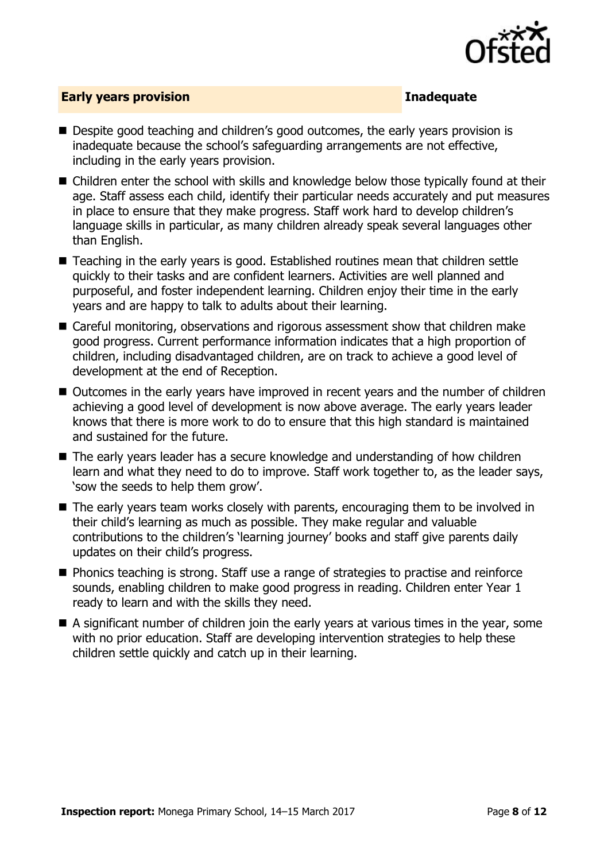

#### **Early years provision Inadequate**

- Despite good teaching and children's good outcomes, the early years provision is inadequate because the school's safeguarding arrangements are not effective, including in the early years provision.
- Children enter the school with skills and knowledge below those typically found at their age. Staff assess each child, identify their particular needs accurately and put measures in place to ensure that they make progress. Staff work hard to develop children's language skills in particular, as many children already speak several languages other than English.
- Teaching in the early years is good. Established routines mean that children settle quickly to their tasks and are confident learners. Activities are well planned and purposeful, and foster independent learning. Children enjoy their time in the early years and are happy to talk to adults about their learning.
- Careful monitoring, observations and rigorous assessment show that children make good progress. Current performance information indicates that a high proportion of children, including disadvantaged children, are on track to achieve a good level of development at the end of Reception.
- Outcomes in the early years have improved in recent years and the number of children achieving a good level of development is now above average. The early years leader knows that there is more work to do to ensure that this high standard is maintained and sustained for the future.
- The early years leader has a secure knowledge and understanding of how children learn and what they need to do to improve. Staff work together to, as the leader says, 'sow the seeds to help them grow'.
- The early years team works closely with parents, encouraging them to be involved in their child's learning as much as possible. They make regular and valuable contributions to the children's 'learning journey' books and staff give parents daily updates on their child's progress.
- Phonics teaching is strong. Staff use a range of strategies to practise and reinforce sounds, enabling children to make good progress in reading. Children enter Year 1 ready to learn and with the skills they need.
- A significant number of children join the early years at various times in the year, some with no prior education. Staff are developing intervention strategies to help these children settle quickly and catch up in their learning.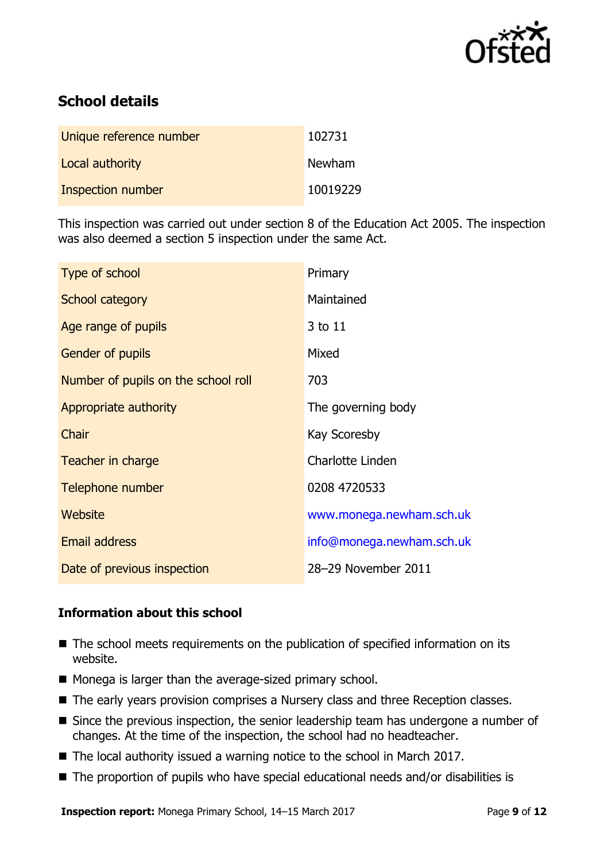

# **School details**

| Unique reference number  | 102731   |
|--------------------------|----------|
| Local authority          | Newham   |
| <b>Inspection number</b> | 10019229 |

This inspection was carried out under section 8 of the Education Act 2005. The inspection was also deemed a section 5 inspection under the same Act.

| Type of school                      | Primary                   |
|-------------------------------------|---------------------------|
| School category                     | Maintained                |
| Age range of pupils                 | 3 to 11                   |
| <b>Gender of pupils</b>             | Mixed                     |
| Number of pupils on the school roll | 703                       |
| Appropriate authority               | The governing body        |
| Chair                               | Kay Scoresby              |
| Teacher in charge                   | Charlotte Linden          |
| Telephone number                    | 0208 4720533              |
| <b>Website</b>                      | www.monega.newham.sch.uk  |
| <b>Email address</b>                | info@monega.newham.sch.uk |
| Date of previous inspection         | 28-29 November 2011       |

### **Information about this school**

- The school meets requirements on the publication of specified information on its website.
- Monega is larger than the average-sized primary school.
- The early years provision comprises a Nursery class and three Reception classes.
- Since the previous inspection, the senior leadership team has undergone a number of changes. At the time of the inspection, the school had no headteacher.
- The local authority issued a warning notice to the school in March 2017.
- The proportion of pupils who have special educational needs and/or disabilities is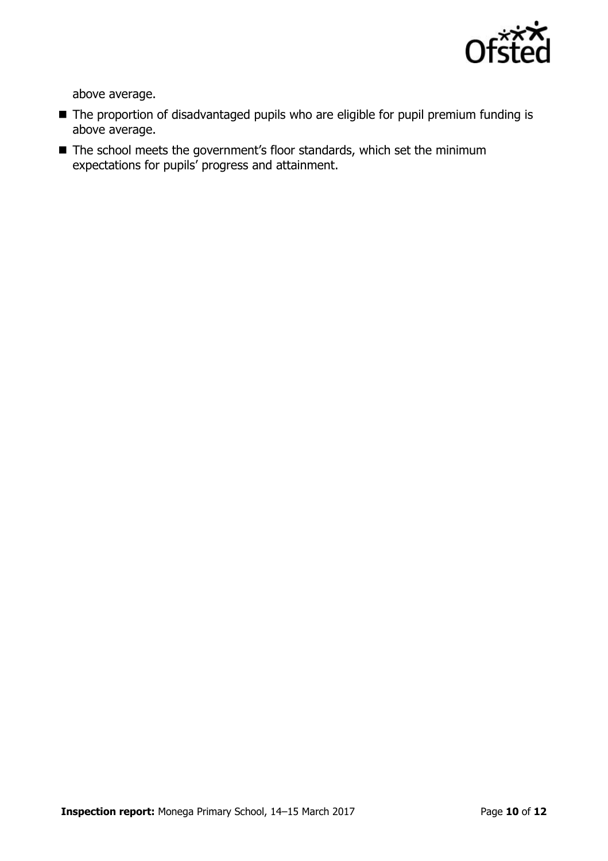

above average.

- The proportion of disadvantaged pupils who are eligible for pupil premium funding is above average.
- The school meets the government's floor standards, which set the minimum expectations for pupils' progress and attainment.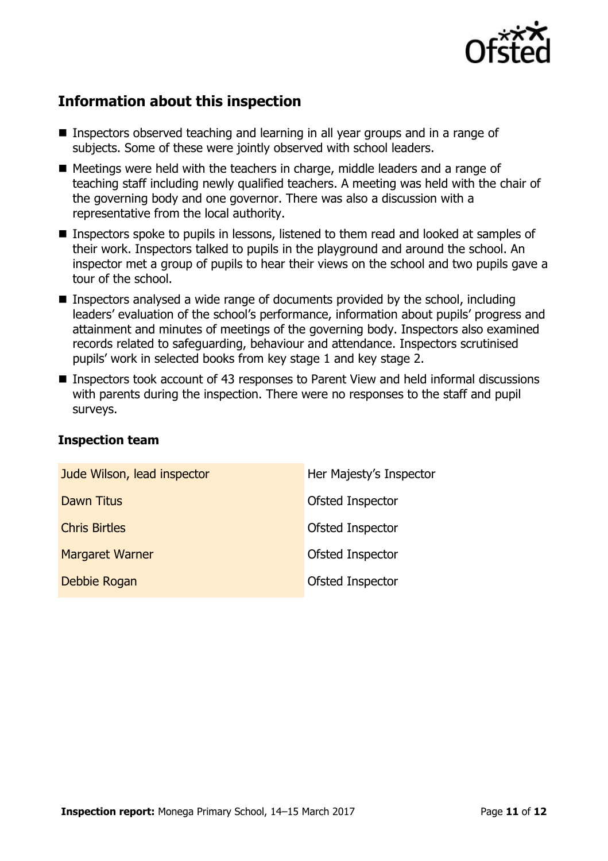

# **Information about this inspection**

- Inspectors observed teaching and learning in all year groups and in a range of subjects. Some of these were jointly observed with school leaders.
- Meetings were held with the teachers in charge, middle leaders and a range of teaching staff including newly qualified teachers. A meeting was held with the chair of the governing body and one governor. There was also a discussion with a representative from the local authority.
- Inspectors spoke to pupils in lessons, listened to them read and looked at samples of their work. Inspectors talked to pupils in the playground and around the school. An inspector met a group of pupils to hear their views on the school and two pupils gave a tour of the school.
- **Inspectors analysed a wide range of documents provided by the school, including** leaders' evaluation of the school's performance, information about pupils' progress and attainment and minutes of meetings of the governing body. Inspectors also examined records related to safeguarding, behaviour and attendance. Inspectors scrutinised pupils' work in selected books from key stage 1 and key stage 2.
- Inspectors took account of 43 responses to Parent View and held informal discussions with parents during the inspection. There were no responses to the staff and pupil surveys.

| Jude Wilson, lead inspector | Her Majesty's Inspector |
|-----------------------------|-------------------------|
| Dawn Titus                  | Ofsted Inspector        |
| <b>Chris Birtles</b>        | Ofsted Inspector        |
| <b>Margaret Warner</b>      | Ofsted Inspector        |
| Debbie Rogan                | Ofsted Inspector        |

### **Inspection team**